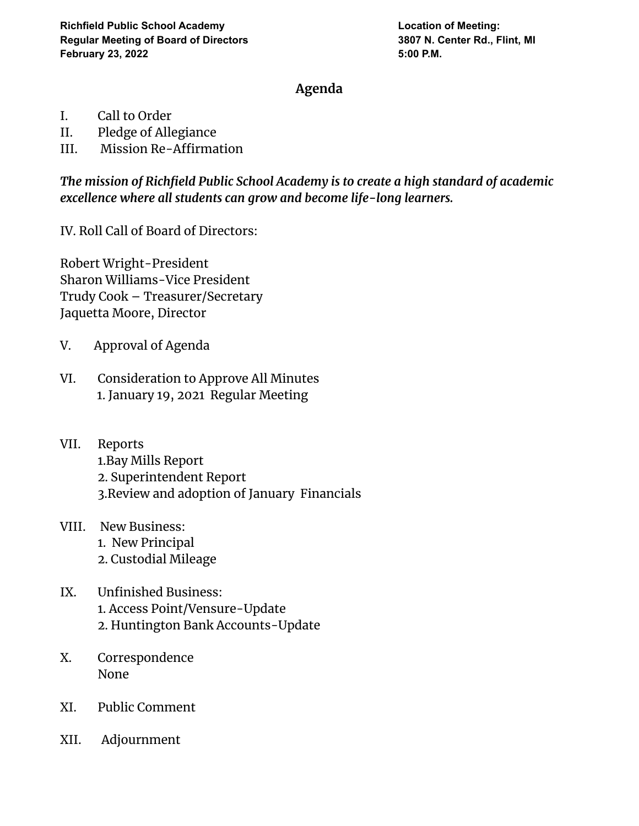## **Agenda**

- I. Call to Order
- II. Pledge of Allegiance
- III. Mission Re-Affirmation

*The mission of Richfield Public School Academy is to create a high standard of academic excellence where all students can grow and become life-long learners.*

IV. Roll Call of Board of Directors:

Robert Wright-President Sharon Williams-Vice President Trudy Cook – Treasurer/Secretary Jaquetta Moore, Director

- V. Approval of Agenda
- VI. Consideration to Approve All Minutes 1. January 19, 2021 Regular Meeting
- VII. Reports 1.Bay Mills Report 2. Superintendent Report 3.Review and adoption of January Financials
- VIII. New Business: 1. New Principal 2. Custodial Mileage
- IX. Unfinished Business: 1. Access Point/Vensure-Update 2. Huntington Bank Accounts-Update
- X. Correspondence None
- XI. Public Comment
- XII. Adjournment